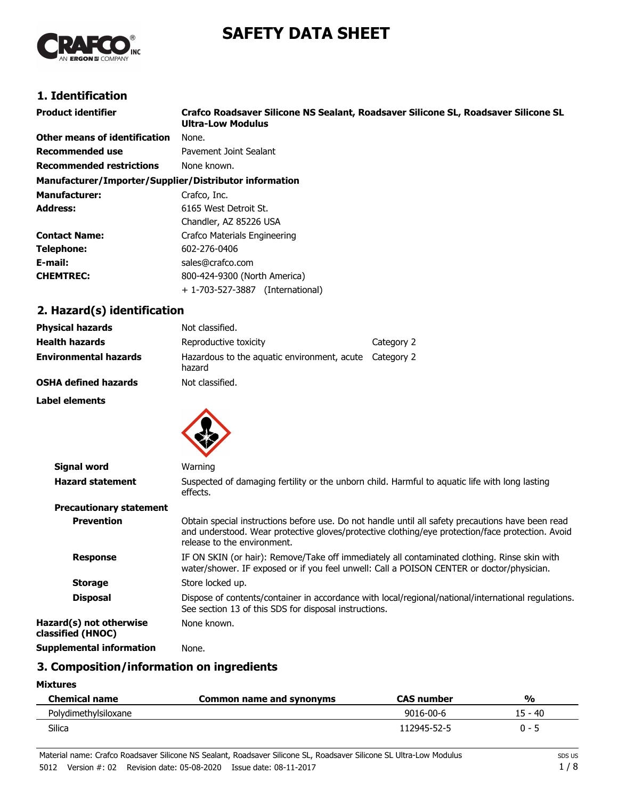# **SAFETY DATA SHEET**



# **1. Identification**

| <b>Product identifier</b>                              | Crafco Roadsaver Silicone NS Sealant, Roadsaver Silicone SL, Roadsaver Silicone SL<br><b>Ultra-Low Modulus</b> |  |  |
|--------------------------------------------------------|----------------------------------------------------------------------------------------------------------------|--|--|
| Other means of identification                          | None.                                                                                                          |  |  |
| <b>Recommended use</b>                                 | Pavement Joint Sealant                                                                                         |  |  |
| <b>Recommended restrictions</b>                        | None known.                                                                                                    |  |  |
| Manufacturer/Importer/Supplier/Distributor information |                                                                                                                |  |  |
| <b>Manufacturer:</b>                                   | Crafco, Inc.                                                                                                   |  |  |
| <b>Address:</b>                                        | 6165 West Detroit St.                                                                                          |  |  |
|                                                        | Chandler, AZ 85226 USA                                                                                         |  |  |
| <b>Contact Name:</b>                                   | Crafco Materials Engineering                                                                                   |  |  |
| Telephone:                                             | 602-276-0406                                                                                                   |  |  |
| E-mail:                                                | sales@crafco.com                                                                                               |  |  |
| <b>CHEMTREC:</b>                                       | 800-424-9300 (North America)                                                                                   |  |  |
|                                                        | + 1-703-527-3887 (International)                                                                               |  |  |

# **2. Hazard(s) identification**

| <b>Physical hazards</b>      | Not classified.                                       |            |
|------------------------------|-------------------------------------------------------|------------|
| <b>Health hazards</b>        | Reproductive toxicity                                 | Category 2 |
| <b>Environmental hazards</b> | Hazardous to the aguatic environment, acute<br>hazard | Category 2 |
| <b>OSHA defined hazards</b>  | Not classified.                                       |            |

**Label elements**



| Signal word                                  | Warning                                                                                                                                                                                                                              |
|----------------------------------------------|--------------------------------------------------------------------------------------------------------------------------------------------------------------------------------------------------------------------------------------|
| <b>Hazard statement</b>                      | Suspected of damaging fertility or the unborn child. Harmful to aguatic life with long lasting<br>effects.                                                                                                                           |
| <b>Precautionary statement</b>               |                                                                                                                                                                                                                                      |
| <b>Prevention</b>                            | Obtain special instructions before use. Do not handle until all safety precautions have been read<br>and understood. Wear protective gloves/protective clothing/eye protection/face protection. Avoid<br>release to the environment. |
| <b>Response</b>                              | IF ON SKIN (or hair): Remove/Take off immediately all contaminated clothing. Rinse skin with<br>water/shower. IF exposed or if you feel unwell: Call a POISON CENTER or doctor/physician.                                            |
| <b>Storage</b>                               | Store locked up.                                                                                                                                                                                                                     |
| <b>Disposal</b>                              | Dispose of contents/container in accordance with local/regional/national/international regulations.<br>See section 13 of this SDS for disposal instructions.                                                                         |
| Hazard(s) not otherwise<br>classified (HNOC) | None known.                                                                                                                                                                                                                          |
| <b>Supplemental information</b>              | None.                                                                                                                                                                                                                                |

# **3. Composition/information on ingredients**

**Mixtures**

| <b>Chemical name</b> | Common name and synonyms | <b>CAS number</b> | %       |
|----------------------|--------------------------|-------------------|---------|
| Polydimethylsiloxane |                          | $9016 - 00 - 6$   | 15 - 40 |
| Silica               |                          | 112945-52-5       | 0 - 5   |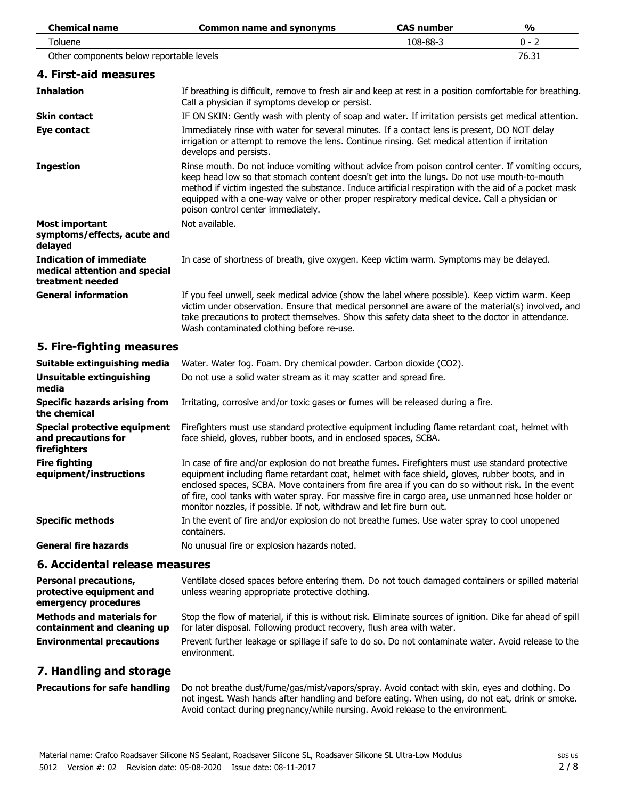| <b>Chemical name</b>                                                                | <b>Common name and synonyms</b>                                                                                                                                                                                                                                                                                                                                                                                                                                                        | <b>CAS number</b>                                                                                                                                            | $\frac{1}{2}$ |  |
|-------------------------------------------------------------------------------------|----------------------------------------------------------------------------------------------------------------------------------------------------------------------------------------------------------------------------------------------------------------------------------------------------------------------------------------------------------------------------------------------------------------------------------------------------------------------------------------|--------------------------------------------------------------------------------------------------------------------------------------------------------------|---------------|--|
| Toluene                                                                             |                                                                                                                                                                                                                                                                                                                                                                                                                                                                                        | 108-88-3                                                                                                                                                     | $0 - 2$       |  |
| Other components below reportable levels                                            |                                                                                                                                                                                                                                                                                                                                                                                                                                                                                        |                                                                                                                                                              | 76.31         |  |
| 4. First-aid measures                                                               |                                                                                                                                                                                                                                                                                                                                                                                                                                                                                        |                                                                                                                                                              |               |  |
| <b>Inhalation</b>                                                                   |                                                                                                                                                                                                                                                                                                                                                                                                                                                                                        | If breathing is difficult, remove to fresh air and keep at rest in a position comfortable for breathing.<br>Call a physician if symptoms develop or persist. |               |  |
| <b>Skin contact</b>                                                                 | IF ON SKIN: Gently wash with plenty of soap and water. If irritation persists get medical attention.                                                                                                                                                                                                                                                                                                                                                                                   |                                                                                                                                                              |               |  |
| Eye contact                                                                         | Immediately rinse with water for several minutes. If a contact lens is present, DO NOT delay<br>irrigation or attempt to remove the lens. Continue rinsing. Get medical attention if irritation<br>develops and persists.                                                                                                                                                                                                                                                              |                                                                                                                                                              |               |  |
| <b>Ingestion</b>                                                                    | Rinse mouth. Do not induce vomiting without advice from poison control center. If vomiting occurs,<br>keep head low so that stomach content doesn't get into the lungs. Do not use mouth-to-mouth<br>method if victim ingested the substance. Induce artificial respiration with the aid of a pocket mask<br>equipped with a one-way valve or other proper respiratory medical device. Call a physician or<br>poison control center immediately.                                       |                                                                                                                                                              |               |  |
| <b>Most important</b><br>symptoms/effects, acute and<br>delayed                     | Not available.                                                                                                                                                                                                                                                                                                                                                                                                                                                                         |                                                                                                                                                              |               |  |
| <b>Indication of immediate</b><br>medical attention and special<br>treatment needed | In case of shortness of breath, give oxygen. Keep victim warm. Symptoms may be delayed.                                                                                                                                                                                                                                                                                                                                                                                                |                                                                                                                                                              |               |  |
| <b>General information</b>                                                          | If you feel unwell, seek medical advice (show the label where possible). Keep victim warm. Keep<br>victim under observation. Ensure that medical personnel are aware of the material(s) involved, and<br>take precautions to protect themselves. Show this safety data sheet to the doctor in attendance.<br>Wash contaminated clothing before re-use.                                                                                                                                 |                                                                                                                                                              |               |  |
| 5. Fire-fighting measures                                                           |                                                                                                                                                                                                                                                                                                                                                                                                                                                                                        |                                                                                                                                                              |               |  |
| Suitable extinguishing media                                                        | Water. Water fog. Foam. Dry chemical powder. Carbon dioxide (CO2).                                                                                                                                                                                                                                                                                                                                                                                                                     |                                                                                                                                                              |               |  |
| <b>Unsuitable extinguishing</b><br>media                                            | Do not use a solid water stream as it may scatter and spread fire.                                                                                                                                                                                                                                                                                                                                                                                                                     |                                                                                                                                                              |               |  |
| <b>Specific hazards arising from</b><br>the chemical                                | Irritating, corrosive and/or toxic gases or fumes will be released during a fire.                                                                                                                                                                                                                                                                                                                                                                                                      |                                                                                                                                                              |               |  |
| Special protective equipment<br>and precautions for<br>firefighters                 | Firefighters must use standard protective equipment including flame retardant coat, helmet with<br>face shield, gloves, rubber boots, and in enclosed spaces, SCBA.                                                                                                                                                                                                                                                                                                                    |                                                                                                                                                              |               |  |
| <b>Fire fighting</b><br>equipment/instructions                                      | In case of fire and/or explosion do not breathe fumes. Firefighters must use standard protective<br>equipment including flame retardant coat, helmet with face shield, gloves, rubber boots, and in<br>enclosed spaces, SCBA. Move containers from fire area if you can do so without risk. In the event<br>of fire, cool tanks with water spray. For massive fire in cargo area, use unmanned hose holder or<br>monitor nozzles, if possible. If not, withdraw and let fire burn out. |                                                                                                                                                              |               |  |
| <b>Specific methods</b>                                                             | In the event of fire and/or explosion do not breathe fumes. Use water spray to cool unopened<br>containers.                                                                                                                                                                                                                                                                                                                                                                            |                                                                                                                                                              |               |  |
| <b>General fire hazards</b>                                                         | No unusual fire or explosion hazards noted.                                                                                                                                                                                                                                                                                                                                                                                                                                            |                                                                                                                                                              |               |  |
| 6. Accidental release measures                                                      |                                                                                                                                                                                                                                                                                                                                                                                                                                                                                        |                                                                                                                                                              |               |  |
| <b>Personal precautions,</b><br>protective equipment and<br>emergency procedures    | Ventilate closed spaces before entering them. Do not touch damaged containers or spilled material<br>unless wearing appropriate protective clothing.                                                                                                                                                                                                                                                                                                                                   |                                                                                                                                                              |               |  |
| <b>Methods and materials for</b><br>containment and cleaning up                     | Stop the flow of material, if this is without risk. Eliminate sources of ignition. Dike far ahead of spill<br>for later disposal. Following product recovery, flush area with water.                                                                                                                                                                                                                                                                                                   |                                                                                                                                                              |               |  |
| <b>Environmental precautions</b>                                                    | Prevent further leakage or spillage if safe to do so. Do not contaminate water. Avoid release to the<br>environment.                                                                                                                                                                                                                                                                                                                                                                   |                                                                                                                                                              |               |  |

# **7. Handling and storage**

| <b>Precautions for safe handling</b> Do not breathe dust/fume/gas/mist/vapors/spray. Avoid contact with skin, eyes and clothing. Do |
|-------------------------------------------------------------------------------------------------------------------------------------|
| not ingest. Wash hands after handling and before eating. When using, do not eat, drink or smoke.                                    |
| Avoid contact during pregnancy/while nursing. Avoid release to the environment.                                                     |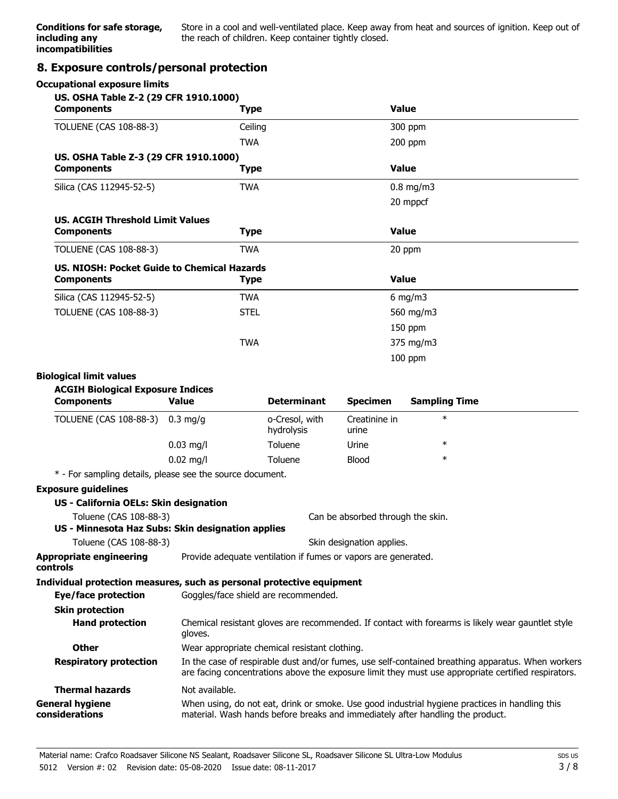Store in a cool and well-ventilated place. Keep away from heat and sources of ignition. Keep out of the reach of children. Keep container tightly closed.

## **8. Exposure controls/personal protection**

| <b>Occupational exposure limits</b>                                                     |                                                                |                                                                                                                                                                                                          |                                   |                      |  |
|-----------------------------------------------------------------------------------------|----------------------------------------------------------------|----------------------------------------------------------------------------------------------------------------------------------------------------------------------------------------------------------|-----------------------------------|----------------------|--|
| US. OSHA Table Z-2 (29 CFR 1910.1000)<br><b>Components</b>                              | <b>Type</b>                                                    |                                                                                                                                                                                                          |                                   | <b>Value</b>         |  |
| <b>TOLUENE (CAS 108-88-3)</b>                                                           | Ceiling                                                        |                                                                                                                                                                                                          |                                   | 300 ppm              |  |
|                                                                                         | <b>TWA</b>                                                     |                                                                                                                                                                                                          |                                   | 200 ppm              |  |
| US. OSHA Table Z-3 (29 CFR 1910.1000)<br><b>Components</b>                              | <b>Type</b>                                                    |                                                                                                                                                                                                          |                                   | <b>Value</b>         |  |
| Silica (CAS 112945-52-5)                                                                | <b>TWA</b>                                                     |                                                                                                                                                                                                          |                                   | $0.8$ mg/m3          |  |
|                                                                                         |                                                                |                                                                                                                                                                                                          |                                   | 20 mppcf             |  |
| <b>US. ACGIH Threshold Limit Values</b><br><b>Components</b>                            | <b>Type</b>                                                    |                                                                                                                                                                                                          |                                   | <b>Value</b>         |  |
| <b>TOLUENE (CAS 108-88-3)</b>                                                           | <b>TWA</b>                                                     |                                                                                                                                                                                                          |                                   | 20 ppm               |  |
| <b>US. NIOSH: Pocket Guide to Chemical Hazards</b>                                      |                                                                |                                                                                                                                                                                                          |                                   |                      |  |
| <b>Components</b>                                                                       | <b>Type</b>                                                    |                                                                                                                                                                                                          |                                   | <b>Value</b>         |  |
| Silica (CAS 112945-52-5)                                                                | <b>TWA</b>                                                     |                                                                                                                                                                                                          |                                   | $6$ mg/m3            |  |
| <b>TOLUENE (CAS 108-88-3)</b>                                                           | <b>STEL</b>                                                    |                                                                                                                                                                                                          |                                   | 560 mg/m3            |  |
|                                                                                         |                                                                |                                                                                                                                                                                                          |                                   | $150$ ppm            |  |
|                                                                                         | <b>TWA</b>                                                     |                                                                                                                                                                                                          |                                   | 375 mg/m3            |  |
|                                                                                         |                                                                |                                                                                                                                                                                                          |                                   | $100$ ppm            |  |
| <b>Biological limit values</b>                                                          |                                                                |                                                                                                                                                                                                          |                                   |                      |  |
| <b>ACGIH Biological Exposure Indices</b><br><b>Components</b>                           | <b>Value</b>                                                   | <b>Determinant</b>                                                                                                                                                                                       | <b>Specimen</b>                   | <b>Sampling Time</b> |  |
|                                                                                         |                                                                |                                                                                                                                                                                                          |                                   | $\ast$               |  |
| <b>TOLUENE (CAS 108-88-3)</b>                                                           | $0.3 \text{ mg/g}$                                             | o-Cresol, with<br>hydrolysis                                                                                                                                                                             | Creatinine in<br>urine            |                      |  |
|                                                                                         | $0.03$ mg/l                                                    | Toluene                                                                                                                                                                                                  | Urine                             | $\ast$               |  |
|                                                                                         | $0.02$ mg/l                                                    | Toluene                                                                                                                                                                                                  | Blood                             | $\ast$               |  |
| * - For sampling details, please see the source document.<br><b>Exposure guidelines</b> |                                                                |                                                                                                                                                                                                          |                                   |                      |  |
| US - California OELs: Skin designation                                                  |                                                                |                                                                                                                                                                                                          |                                   |                      |  |
| Toluene (CAS 108-88-3)                                                                  |                                                                |                                                                                                                                                                                                          | Can be absorbed through the skin. |                      |  |
| US - Minnesota Haz Subs: Skin designation applies                                       |                                                                |                                                                                                                                                                                                          |                                   |                      |  |
| Toluene (CAS 108-88-3)                                                                  |                                                                |                                                                                                                                                                                                          | Skin designation applies.         |                      |  |
| <b>Appropriate engineering</b><br>controls                                              | Provide adequate ventilation if fumes or vapors are generated. |                                                                                                                                                                                                          |                                   |                      |  |
| Individual protection measures, such as personal protective equipment                   |                                                                |                                                                                                                                                                                                          |                                   |                      |  |
| <b>Eye/face protection</b>                                                              | Goggles/face shield are recommended.                           |                                                                                                                                                                                                          |                                   |                      |  |
| <b>Skin protection</b><br><b>Hand protection</b>                                        |                                                                |                                                                                                                                                                                                          |                                   |                      |  |
|                                                                                         | gloves.                                                        | Chemical resistant gloves are recommended. If contact with forearms is likely wear gauntlet style                                                                                                        |                                   |                      |  |
| <b>Other</b>                                                                            |                                                                | Wear appropriate chemical resistant clothing.                                                                                                                                                            |                                   |                      |  |
| <b>Respiratory protection</b>                                                           |                                                                | In the case of respirable dust and/or fumes, use self-contained breathing apparatus. When workers<br>are facing concentrations above the exposure limit they must use appropriate certified respirators. |                                   |                      |  |
| <b>Thermal hazards</b>                                                                  | Not available.                                                 |                                                                                                                                                                                                          |                                   |                      |  |
| <b>General hygiene</b><br>considerations                                                |                                                                | When using, do not eat, drink or smoke. Use good industrial hygiene practices in handling this<br>material. Wash hands before breaks and immediately after handling the product.                         |                                   |                      |  |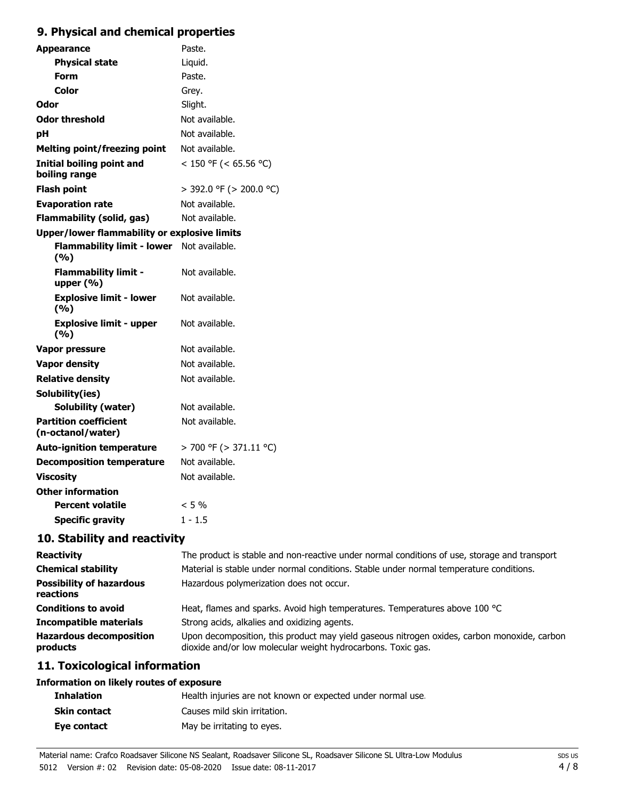# **9. Physical and chemical properties**

| <b>Appearance</b>                                   | Paste.                  |  |
|-----------------------------------------------------|-------------------------|--|
| <b>Physical state</b>                               | Liquid.                 |  |
| Form                                                | Paste.                  |  |
| Color                                               | Grey.                   |  |
| Odor                                                | Slight.                 |  |
| Odor threshold                                      | Not available.          |  |
| рH                                                  | Not available.          |  |
| <b>Melting point/freezing point</b>                 | Not available.          |  |
| Initial boiling point and<br>boiling range          | < 150 °F (< 65.56 °C)   |  |
| <b>Flash point</b>                                  | > 392.0 °F (> 200.0 °C) |  |
| <b>Evaporation rate</b>                             | Not available.          |  |
| <b>Flammability (solid, gas)</b>                    | Not available.          |  |
| <b>Upper/lower flammability or explosive limits</b> |                         |  |
| <b>Flammability limit - lower</b><br>(%)            | Not available.          |  |
| <b>Flammability limit -</b><br>upper $(%)$          | Not available.          |  |
| <b>Explosive limit - lower</b><br>(%)               | Not available.          |  |
| <b>Explosive limit - upper</b><br>(%)               | Not available.          |  |
| Vapor pressure                                      | Not available.          |  |
| <b>Vapor density</b>                                | Not available.          |  |
| <b>Relative density</b>                             | Not available.          |  |
| Solubility(ies)                                     |                         |  |
| <b>Solubility (water)</b>                           | Not available.          |  |
| <b>Partition coefficient</b><br>(n-octanol/water)   | Not available.          |  |
| <b>Auto-ignition temperature</b>                    | > 700 °F (> 371.11 °C)  |  |
| <b>Decomposition temperature</b>                    | Not available.          |  |
| <b>Viscosity</b>                                    | Not available.          |  |
| <b>Other information</b>                            |                         |  |
| <b>Percent volatile</b>                             | $< 5\%$                 |  |
| <b>Specific gravity</b>                             | $1 - 1.5$               |  |

# **10. Stability and reactivity**

| <b>Reactivity</b>                            | The product is stable and non-reactive under normal conditions of use, storage and transport                                                                |
|----------------------------------------------|-------------------------------------------------------------------------------------------------------------------------------------------------------------|
| <b>Chemical stability</b>                    | Material is stable under normal conditions. Stable under normal temperature conditions.                                                                     |
| <b>Possibility of hazardous</b><br>reactions | Hazardous polymerization does not occur.                                                                                                                    |
| <b>Conditions to avoid</b>                   | Heat, flames and sparks. Avoid high temperatures. Temperatures above 100 °C                                                                                 |
| <b>Incompatible materials</b>                | Strong acids, alkalies and oxidizing agents.                                                                                                                |
| <b>Hazardous decomposition</b><br>products   | Upon decomposition, this product may yield gaseous nitrogen oxides, carbon monoxide, carbon<br>dioxide and/or low molecular weight hydrocarbons. Toxic gas. |

# **11. Toxicological information**

## **Information on likely routes of exposure**

| <b>Inhalation</b> | Health injuries are not known or expected under normal use. |
|-------------------|-------------------------------------------------------------|
| Skin contact      | Causes mild skin irritation.                                |
| Eve contact       | May be irritating to eves.                                  |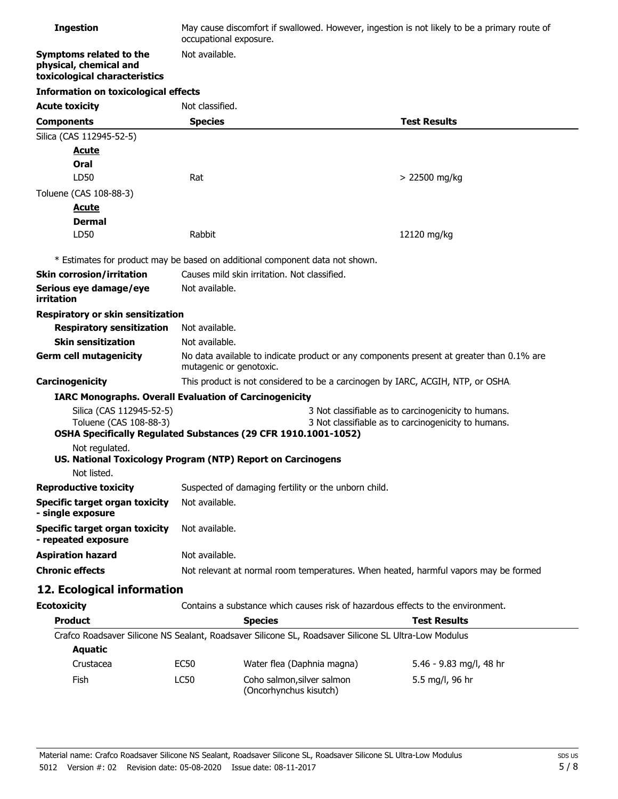| <b>Ingestion</b>                                                                   | May cause discomfort if swallowed. However, ingestion is not likely to be a primary route of<br>occupational exposure. |                     |  |
|------------------------------------------------------------------------------------|------------------------------------------------------------------------------------------------------------------------|---------------------|--|
| Symptoms related to the<br>physical, chemical and<br>toxicological characteristics | Not available.                                                                                                         |                     |  |
| <b>Information on toxicological effects</b>                                        |                                                                                                                        |                     |  |
| <b>Acute toxicity</b>                                                              | Not classified.                                                                                                        |                     |  |
| <b>Components</b>                                                                  | <b>Species</b>                                                                                                         | <b>Test Results</b> |  |
| Silica (CAS 112945-52-5)                                                           |                                                                                                                        |                     |  |
| <b>Acute</b><br>Oral<br>LD50                                                       | Rat                                                                                                                    | > 22500 mg/kg       |  |
|                                                                                    |                                                                                                                        |                     |  |
| Toluene (CAS 108-88-3)                                                             |                                                                                                                        |                     |  |
| <u>Acute</u><br><b>Dermal</b>                                                      |                                                                                                                        |                     |  |
| LD50                                                                               | Rabbit                                                                                                                 | 12120 mg/kg         |  |
|                                                                                    |                                                                                                                        |                     |  |
|                                                                                    | * Estimates for product may be based on additional component data not shown.                                           |                     |  |
| <b>Skin corrosion/irritation</b>                                                   | Causes mild skin irritation. Not classified.                                                                           |                     |  |
| Serious eye damage/eye<br><b>irritation</b>                                        | Not available.                                                                                                         |                     |  |
| Respiratory or skin sensitization                                                  |                                                                                                                        |                     |  |
| <b>Respiratory sensitization</b>                                                   | Not available.                                                                                                         |                     |  |
| <b>Skin sensitization</b>                                                          | Not available.                                                                                                         |                     |  |
| <b>Germ cell mutagenicity</b>                                                      | No data available to indicate product or any components present at greater than 0.1% are<br>mutagenic or genotoxic.    |                     |  |
| Carcinogenicity                                                                    | This product is not considered to be a carcinogen by IARC, ACGIH, NTP, or OSHA.                                        |                     |  |
|                                                                                    | <b>IARC Monographs. Overall Evaluation of Carcinogenicity</b>                                                          |                     |  |
| Silica (CAS 112945-52-5)<br>Toluene (CAS 108-88-3)                                 | 3 Not classifiable as to carcinogenicity to humans.<br>3 Not classifiable as to carcinogenicity to humans.             |                     |  |
|                                                                                    | OSHA Specifically Regulated Substances (29 CFR 1910.1001-1052)                                                         |                     |  |
| Not regulated.                                                                     |                                                                                                                        |                     |  |
|                                                                                    | US. National Toxicology Program (NTP) Report on Carcinogens                                                            |                     |  |
| Not listed.                                                                        |                                                                                                                        |                     |  |
| <b>Reproductive toxicity</b>                                                       | Suspected of damaging fertility or the unborn child.                                                                   |                     |  |
| Specific target organ toxicity<br>- single exposure                                | Not available.                                                                                                         |                     |  |
| <b>Specific target organ toxicity</b><br>- repeated exposure                       | Not available.                                                                                                         |                     |  |
| <b>Aspiration hazard</b>                                                           | Not available.                                                                                                         |                     |  |
| <b>Chronic effects</b>                                                             | Not relevant at normal room temperatures. When heated, harmful vapors may be formed                                    |                     |  |
| 12. Ecological information                                                         |                                                                                                                        |                     |  |
| <b>Ecotoxicity</b>                                                                 | Contains a substance which causes risk of hazardous effects to the environment.                                        |                     |  |
| <b>Product</b>                                                                     | <b>Species</b>                                                                                                         | <b>Test Results</b> |  |
| <b>Aquatic</b>                                                                     | Crafco Roadsaver Silicone NS Sealant, Roadsaver Silicone SL, Roadsaver Silicone SL Ultra-Low Modulus                   |                     |  |

| Crustacea | EC50 | Water flea (Daphnia magna)                           | 5.46 - 9.83 mg/l, 48 hr |
|-----------|------|------------------------------------------------------|-------------------------|
| Fish      | LC50 | Coho salmon, silver salmon<br>(Oncorhynchus kisutch) | 5.5 mg/l, 96 hr         |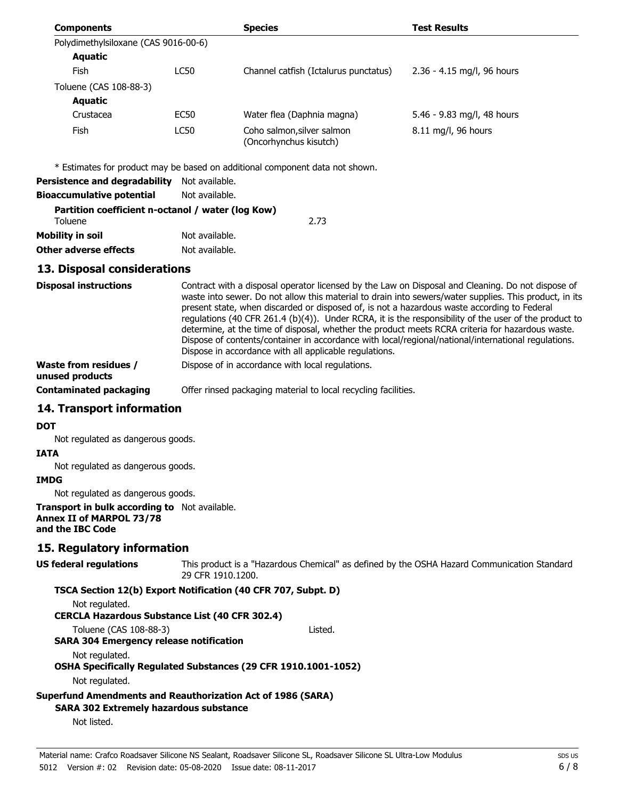| <b>Components</b>                    |             | <b>Species</b>                                       | <b>Test Results</b>        |
|--------------------------------------|-------------|------------------------------------------------------|----------------------------|
| Polydimethylsiloxane (CAS 9016-00-6) |             |                                                      |                            |
| <b>Aquatic</b>                       |             |                                                      |                            |
| Fish                                 | LC50        | Channel catfish (Ictalurus punctatus)                | 2.36 - 4.15 mg/l, 96 hours |
| Toluene (CAS 108-88-3)               |             |                                                      |                            |
| <b>Aquatic</b>                       |             |                                                      |                            |
| Crustacea                            | <b>EC50</b> | Water flea (Daphnia magna)                           | 5.46 - 9.83 mg/l, 48 hours |
| Fish                                 | <b>LC50</b> | Coho salmon, silver salmon<br>(Oncorhynchus kisutch) | 8.11 mg/l, 96 hours        |

| Bioaccumulative potential | Not available.                                    |      |
|---------------------------|---------------------------------------------------|------|
|                           | Partition coefficient n-octanol / water (log Kow) |      |
| <b>Toluene</b>            |                                                   | 2.73 |

| Mobility in soil      | Not available. |
|-----------------------|----------------|
| Other adverse effects | Not available. |

## **13. Disposal considerations**

| <b>Disposal instructions</b>                    | Contract with a disposal operator licensed by the Law on Disposal and Cleaning. Do not dispose of<br>waste into sewer. Do not allow this material to drain into sewers/water supplies. This product, in its<br>present state, when discarded or disposed of, is not a hazardous waste according to Federal<br>regulations (40 CFR 261.4 (b)(4)). Under RCRA, it is the responsibility of the user of the product to<br>determine, at the time of disposal, whether the product meets RCRA criteria for hazardous waste.<br>Dispose of contents/container in accordance with local/regional/national/international regulations.<br>Dispose in accordance with all applicable regulations. |
|-------------------------------------------------|------------------------------------------------------------------------------------------------------------------------------------------------------------------------------------------------------------------------------------------------------------------------------------------------------------------------------------------------------------------------------------------------------------------------------------------------------------------------------------------------------------------------------------------------------------------------------------------------------------------------------------------------------------------------------------------|
| <b>Waste from residues /</b><br>unused products | Dispose of in accordance with local regulations.                                                                                                                                                                                                                                                                                                                                                                                                                                                                                                                                                                                                                                         |
| <b>Contaminated packaging</b>                   | Offer rinsed packaging material to local recycling facilities.                                                                                                                                                                                                                                                                                                                                                                                                                                                                                                                                                                                                                           |

## **14. Transport information**

#### **DOT**

Not regulated as dangerous goods.

#### **IATA**

Not regulated as dangerous goods.

#### **IMDG**

Not regulated as dangerous goods.

#### **Transport in bulk according to** Not available. **Annex II of MARPOL 73/78 and the IBC Code**

### **15. Regulatory information**

This product is a "Hazardous Chemical" as defined by the OSHA Hazard Communication Standard, 29 CFR 1910.1200. **US federal regulations TSCA Section 12(b) Export Notification (40 CFR 707, Subpt. D)**

Not regulated. **CERCLA Hazardous Substance List (40 CFR 302.4)**

Toluene (CAS 108-88-3) Listed.

#### **SARA 304 Emergency release notification**

Not regulated.

**OSHA Specifically Regulated Substances (29 CFR 1910.1001-1052)**

Not regulated.

### **Superfund Amendments and Reauthorization Act of 1986 (SARA)**

### **SARA 302 Extremely hazardous substance**

Not listed.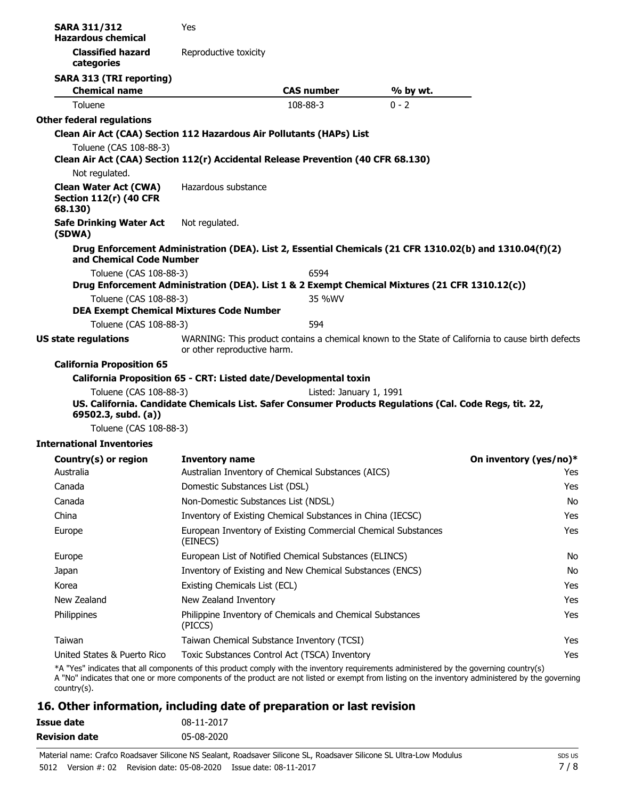| <b>SARA 311/312</b><br><b>Hazardous chemical</b>                                                                                  | Yes                                                                         |                         |                                                                                                         |                                                                                                   |
|-----------------------------------------------------------------------------------------------------------------------------------|-----------------------------------------------------------------------------|-------------------------|---------------------------------------------------------------------------------------------------------|---------------------------------------------------------------------------------------------------|
| <b>Classified hazard</b><br>categories                                                                                            | Reproductive toxicity                                                       |                         |                                                                                                         |                                                                                                   |
| <b>SARA 313 (TRI reporting)</b><br><b>Chemical name</b>                                                                           |                                                                             | <b>CAS number</b>       | % by wt.                                                                                                |                                                                                                   |
| Toluene                                                                                                                           |                                                                             | 108-88-3                | $0 - 2$                                                                                                 |                                                                                                   |
| <b>Other federal regulations</b>                                                                                                  |                                                                             |                         |                                                                                                         |                                                                                                   |
| Clean Air Act (CAA) Section 112 Hazardous Air Pollutants (HAPs) List                                                              |                                                                             |                         |                                                                                                         |                                                                                                   |
| Toluene (CAS 108-88-3)<br>Clean Air Act (CAA) Section 112(r) Accidental Release Prevention (40 CFR 68.130)                        |                                                                             |                         |                                                                                                         |                                                                                                   |
| Not regulated.                                                                                                                    |                                                                             |                         |                                                                                                         |                                                                                                   |
| <b>Clean Water Act (CWA)</b><br><b>Section 112(r) (40 CFR</b><br>68.130)                                                          | Hazardous substance                                                         |                         |                                                                                                         |                                                                                                   |
| <b>Safe Drinking Water Act</b><br>(SDWA)                                                                                          | Not regulated.                                                              |                         |                                                                                                         |                                                                                                   |
| and Chemical Code Number                                                                                                          |                                                                             |                         | Drug Enforcement Administration (DEA). List 2, Essential Chemicals (21 CFR 1310.02(b) and 1310.04(f)(2) |                                                                                                   |
| Toluene (CAS 108-88-3)                                                                                                            |                                                                             | 6594                    | Drug Enforcement Administration (DEA). List 1 & 2 Exempt Chemical Mixtures (21 CFR 1310.12(c))          |                                                                                                   |
| Toluene (CAS 108-88-3)<br><b>DEA Exempt Chemical Mixtures Code Number</b>                                                         |                                                                             | 35 %WV                  |                                                                                                         |                                                                                                   |
| Toluene (CAS 108-88-3)                                                                                                            |                                                                             | 594                     |                                                                                                         |                                                                                                   |
| <b>US state regulations</b>                                                                                                       | or other reproductive harm.                                                 |                         |                                                                                                         | WARNING: This product contains a chemical known to the State of California to cause birth defects |
| <b>California Proposition 65</b>                                                                                                  |                                                                             |                         |                                                                                                         |                                                                                                   |
| California Proposition 65 - CRT: Listed date/Developmental toxin                                                                  |                                                                             |                         |                                                                                                         |                                                                                                   |
| Toluene (CAS 108-88-3)<br>US. California. Candidate Chemicals List. Safer Consumer Products Regulations (Cal. Code Regs, tit. 22, |                                                                             | Listed: January 1, 1991 |                                                                                                         |                                                                                                   |
| 69502.3, subd. (a))                                                                                                               |                                                                             |                         |                                                                                                         |                                                                                                   |
| Toluene (CAS 108-88-3)                                                                                                            |                                                                             |                         |                                                                                                         |                                                                                                   |
| <b>International Inventories</b>                                                                                                  |                                                                             |                         |                                                                                                         |                                                                                                   |
| Country(s) or region<br>Australia                                                                                                 | <b>Inventory name</b><br>Australian Inventory of Chemical Substances (AICS) |                         |                                                                                                         | On inventory (yes/no)*<br>Yes                                                                     |
| Canada                                                                                                                            | Domestic Substances List (DSL)                                              |                         |                                                                                                         | Yes                                                                                               |
| Canada                                                                                                                            | Non-Domestic Substances List (NDSL)                                         |                         |                                                                                                         | No                                                                                                |
| China                                                                                                                             | Inventory of Existing Chemical Substances in China (IECSC)                  |                         |                                                                                                         | Yes                                                                                               |
| Europe                                                                                                                            | European Inventory of Existing Commercial Chemical Substances<br>(EINECS)   |                         |                                                                                                         | Yes                                                                                               |
| Europe                                                                                                                            | European List of Notified Chemical Substances (ELINCS)                      |                         |                                                                                                         | No                                                                                                |
| Japan                                                                                                                             | Inventory of Existing and New Chemical Substances (ENCS)                    |                         |                                                                                                         | No                                                                                                |
| Korea                                                                                                                             | Existing Chemicals List (ECL)                                               |                         |                                                                                                         | Yes                                                                                               |
| New Zealand                                                                                                                       | New Zealand Inventory                                                       |                         |                                                                                                         | Yes                                                                                               |
| Philippines                                                                                                                       | Philippine Inventory of Chemicals and Chemical Substances<br>(PICCS)        |                         |                                                                                                         | Yes                                                                                               |
| Taiwan                                                                                                                            | Taiwan Chemical Substance Inventory (TCSI)                                  |                         |                                                                                                         | Yes                                                                                               |
| United States & Puerto Rico                                                                                                       | Toxic Substances Control Act (TSCA) Inventory                               |                         |                                                                                                         | Yes                                                                                               |
|                                                                                                                                   |                                                                             |                         |                                                                                                         |                                                                                                   |

\*A "Yes" indicates that all components of this product comply with the inventory requirements administered by the governing country(s) A "No" indicates that one or more components of the product are not listed or exempt from listing on the inventory administered by the governing country(s).

# **16. Other information, including date of preparation or last revision**

| Issue date    | 08-11-2017 |
|---------------|------------|
| Revision date | 05-08-2020 |